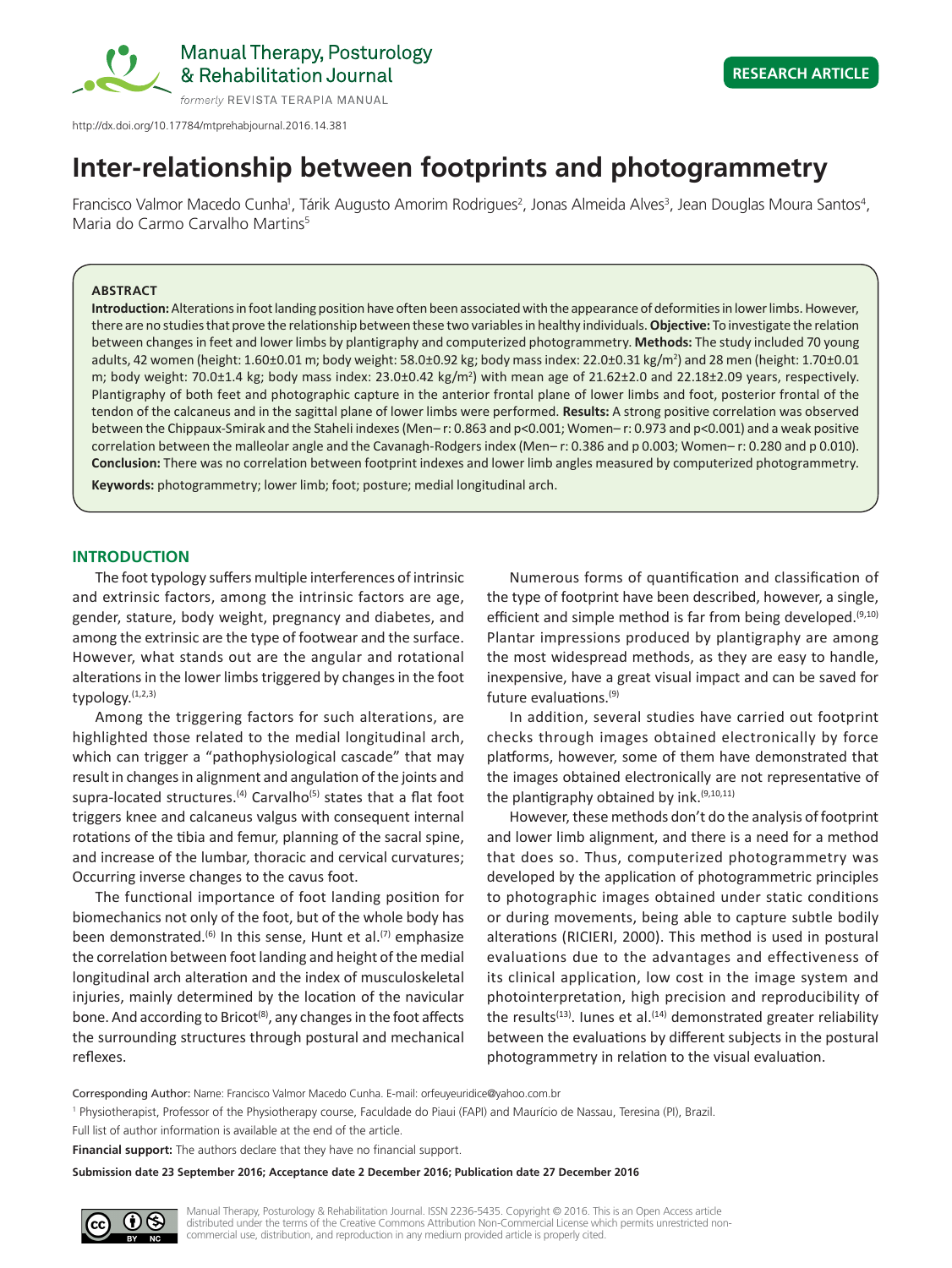

http://dx.doi.org/10.17784/mtprehabjournal.2016.14.381

# **Inter-relationship between footprints and photogrammetry**

Francisco Valmor Macedo Cunha<sup>1</sup>, Tárik Augusto Amorim Rodrigues<sup>2</sup>, Jonas Almeida Alves<sup>3</sup>, Jean Douglas Moura Santos<sup>4</sup>, Maria do Carmo Carvalho Martins<sup>5</sup>

# **ABSTRACT**

**Introduction:** Alterations in foot landing position have often been associated with the appearance of deformities in lower limbs. However, there are no studies that prove the relationship between these two variables in healthy individuals. **Objective:** To investigate the relation between changes in feet and lower limbs by plantigraphy and computerized photogrammetry. **Methods:** The study included 70 young adults, 42 women (height: 1.60±0.01 m; body weight: 58.0±0.92 kg; body mass index: 22.0±0.31 kg/m<sup>2</sup>) and 28 men (height: 1.70±0.01 m; body weight: 70.0±1.4 kg; body mass index:  $23.0\pm0.42$  kg/m<sup>2</sup>) with mean age of  $21.62\pm2.0$  and  $22.18\pm2.09$  years, respectively. Plantigraphy of both feet and photographic capture in the anterior frontal plane of lower limbs and foot, posterior frontal of the tendon of the calcaneus and in the sagittal plane of lower limbs were performed. **Results:** A strong positive correlation was observed between the Chippaux-Smirak and the Staheli indexes (Men– r: 0.863 and p<0.001; Women– r: 0.973 and p<0.001) and a weak positive correlation between the malleolar angle and the Cavanagh-Rodgers index (Men– r: 0.386 and p 0.003; Women– r: 0.280 and p 0.010). **Conclusion:** There was no correlation between footprint indexes and lower limb angles measured by computerized photogrammetry.

**Keywords:** photogrammetry; lower limb; foot; posture; medial longitudinal arch.

# **INTRODUCTION**

The foot typology suffers multiple interferences of intrinsic and extrinsic factors, among the intrinsic factors are age, gender, stature, body weight, pregnancy and diabetes, and among the extrinsic are the type of footwear and the surface. However, what stands out are the angular and rotational alterations in the lower limbs triggered by changes in the foot typology. $(1,2,3)$ 

Among the triggering factors for such alterations, are highlighted those related to the medial longitudinal arch, which can trigger a "pathophysiological cascade" that may result in changes in alignment and angulation of the joints and supra-located structures.<sup>(4)</sup> Carvalho<sup>(5)</sup> states that a flat foot triggers knee and calcaneus valgus with consequent internal rotations of the tibia and femur, planning of the sacral spine, and increase of the lumbar, thoracic and cervical curvatures; Occurring inverse changes to the cavus foot.

The functional importance of foot landing position for biomechanics not only of the foot, but of the whole body has been demonstrated.<sup>(6)</sup> In this sense, Hunt et al.<sup>(7)</sup> emphasize the correlation between foot landing and height of the medial longitudinal arch alteration and the index of musculoskeletal injuries, mainly determined by the location of the navicular bone. And according to Bricot<sup>(8)</sup>, any changes in the foot affects the surrounding structures through postural and mechanical reflexes.

Numerous forms of quantification and classification of the type of footprint have been described, however, a single, efficient and simple method is far from being developed. $(9,10)$ Plantar impressions produced by plantigraphy are among the most widespread methods, as they are easy to handle, inexpensive, have a great visual impact and can be saved for future evaluations.(9)

In addition, several studies have carried out footprint checks through images obtained electronically by force platforms, however, some of them have demonstrated that the images obtained electronically are not representative of the plantigraphy obtained by ink.<sup>(9,10,11)</sup>

However, these methods don't do the analysis of footprint and lower limb alignment, and there is a need for a method that does so. Thus, computerized photogrammetry was developed by the application of photogrammetric principles to photographic images obtained under static conditions or during movements, being able to capture subtle bodily alterations (RICIERI, 2000). This method is used in postural evaluations due to the advantages and effectiveness of its clinical application, low cost in the image system and photointerpretation, high precision and reproducibility of the results<sup>(13)</sup>. Iunes et al.<sup>(14)</sup> demonstrated greater reliability between the evaluations by different subjects in the postural photogrammetry in relation to the visual evaluation.

Corresponding Author: Name: Francisco Valmor Macedo Cunha. E-mail: orfeuyeuridice@yahoo.com.br

1 Physiotherapist, Professor of the Physiotherapy course, Faculdade do Piaui (FAPI) and Maurício de Nassau, Teresina (PI), Brazil.

Full list of author information is available at the end of the article.

**Financial support:** The authors declare that they have no financial support.

**Submission date 23 September 2016; Acceptance date 2 December 2016; Publication date 27 December 2016**

**NS** 

Manual Therapy, Posturology & Rehabilitation Journal. ISSN 2236-5435. Copyright © 2016. This is an Open Access article distributed under the terms of the Creative Commons Attribution Non-Commercial License which permits unrestricted noncommercial use, distribution, and reproduction in any medium provided article is properly cited.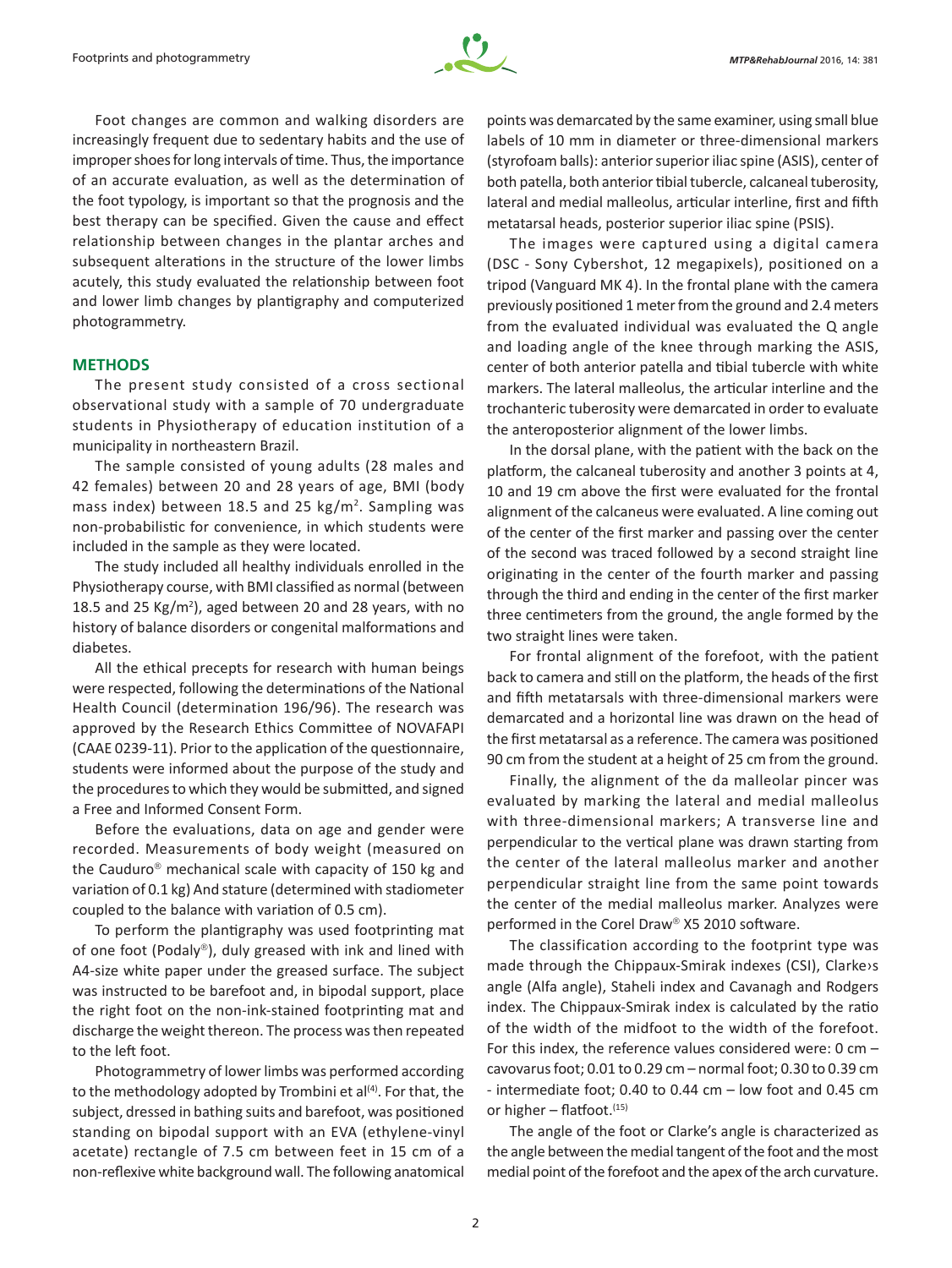

Foot changes are common and walking disorders are increasingly frequent due to sedentary habits and the use of improper shoes for long intervals of time. Thus, the importance of an accurate evaluation, as well as the determination of the foot typology, is important so that the prognosis and the best therapy can be specified. Given the cause and effect relationship between changes in the plantar arches and subsequent alterations in the structure of the lower limbs acutely, this study evaluated the relationship between foot and lower limb changes by plantigraphy and computerized photogrammetry.

# **METHODS**

The present study consisted of a cross sectional observational study with a sample of 70 undergraduate students in Physiotherapy of education institution of a municipality in northeastern Brazil.

The sample consisted of young adults (28 males and 42 females) between 20 and 28 years of age, BMI (body mass index) between 18.5 and 25  $kg/m<sup>2</sup>$ . Sampling was non‑probabilistic for convenience, in which students were included in the sample as they were located.

The study included all healthy individuals enrolled in the Physiotherapy course, with BMI classified as normal (between 18.5 and 25 Kg/m<sup>2</sup>), aged between 20 and 28 years, with no history of balance disorders or congenital malformations and diabetes.

All the ethical precepts for research with human beings were respected, following the determinations of the National Health Council (determination 196/96). The research was approved by the Research Ethics Committee of NOVAFAPI (CAAE 0239-11). Prior to the application of the questionnaire, students were informed about the purpose of the study and the procedures to which they would be submitted, and signed a Free and Informed Consent Form.

Before the evaluations, data on age and gender were recorded. Measurements of body weight (measured on the Cauduro<sup>®</sup> mechanical scale with capacity of 150 kg and variation of 0.1 kg) And stature (determined with stadiometer coupled to the balance with variation of 0.5 cm).

To perform the plantigraphy was used footprinting mat of one foot (Podaly®), duly greased with ink and lined with A4-size white paper under the greased surface. The subject was instructed to be barefoot and, in bipodal support, place the right foot on the non-ink-stained footprinting mat and discharge the weight thereon. The process was then repeated to the left foot.

Photogrammetry of lower limbs was performed according to the methodology adopted by Trombini et al<sup>(4)</sup>. For that, the subject, dressed in bathing suits and barefoot, was positioned standing on bipodal support with an EVA (ethylene-vinyl acetate) rectangle of 7.5 cm between feet in 15 cm of a non‑reflexive white background wall. The following anatomical points was demarcated by the same examiner, using small blue labels of 10 mm in diameter or three-dimensional markers (styrofoam balls): anterior superior iliac spine (ASIS), center of both patella, both anterior tibial tubercle, calcaneal tuberosity, lateral and medial malleolus, articular interline, first and fifth metatarsal heads, posterior superior iliac spine (PSIS).

The images were captured using a digital camera (DSC - Sony Cybershot, 12 megapixels), positioned on a tripod (Vanguard MK 4). In the frontal plane with the camera previously positioned 1 meter from the ground and 2.4 meters from the evaluated individual was evaluated the Q angle and loading angle of the knee through marking the ASIS, center of both anterior patella and tibial tubercle with white markers. The lateral malleolus, the articular interline and the trochanteric tuberosity were demarcated in order to evaluate the anteroposterior alignment of the lower limbs.

In the dorsal plane, with the patient with the back on the platform, the calcaneal tuberosity and another 3 points at 4, 10 and 19 cm above the first were evaluated for the frontal alignment of the calcaneus were evaluated. A line coming out of the center of the first marker and passing over the center of the second was traced followed by a second straight line originating in the center of the fourth marker and passing through the third and ending in the center of the first marker three centimeters from the ground, the angle formed by the two straight lines were taken.

For frontal alignment of the forefoot, with the patient back to camera and still on the platform, the heads of the first and fifth metatarsals with three-dimensional markers were demarcated and a horizontal line was drawn on the head of the first metatarsal as a reference. The camera was positioned 90 cm from the student at a height of 25 cm from the ground.

Finally, the alignment of the da malleolar pincer was evaluated by marking the lateral and medial malleolus with three-dimensional markers; A transverse line and perpendicular to the vertical plane was drawn starting from the center of the lateral malleolus marker and another perpendicular straight line from the same point towards the center of the medial malleolus marker. Analyzes were performed in the Corel Draw<sup>®</sup> X5 2010 software.

The classification according to the footprint type was made through the Chippaux-Smirak indexes (CSI), Clarke›s angle (Alfa angle), Staheli index and Cavanagh and Rodgers index. The Chippaux-Smirak index is calculated by the ratio of the width of the midfoot to the width of the forefoot. For this index, the reference values considered were: 0 cm – cavovarus foot; 0.01 to 0.29 cm – normal foot; 0.30 to 0.39 cm - intermediate foot; 0.40 to 0.44 cm – low foot and 0.45 cm or higher  $-$  flatfoot.  $(15)$ 

The angle of the foot or Clarke's angle is characterized as the angle between the medial tangent of the foot and the most medial point of the forefoot and the apex of the arch curvature.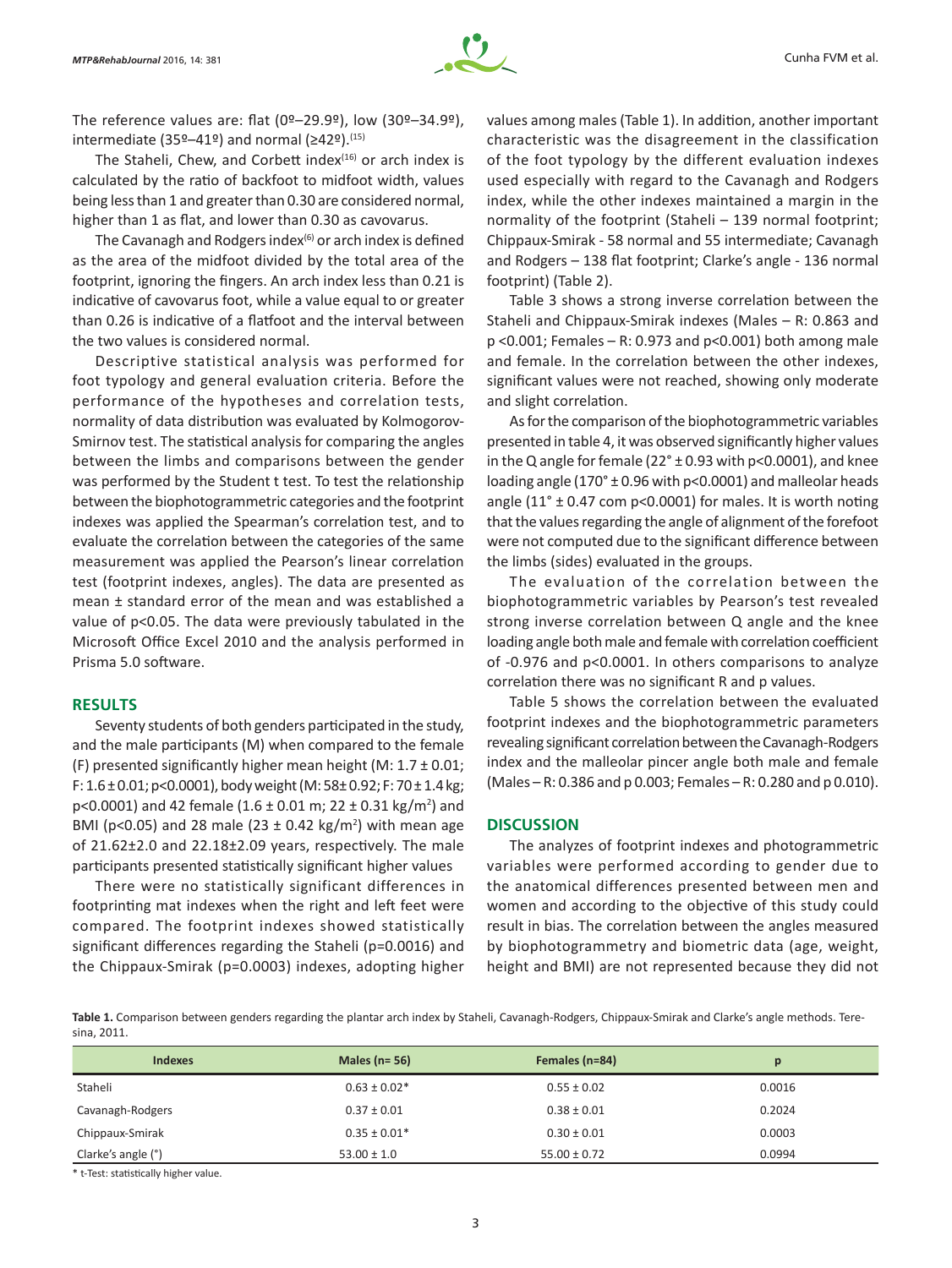

The reference values are: flat  $(0^{\circ}-29.9^{\circ})$ , low  $(30^{\circ}-34.9^{\circ})$ , intermediate (35º–41º) and normal ( $\geq$ 42º).<sup>(15)</sup>

The Staheli, Chew, and Corbett index $(16)$  or arch index is calculated by the ratio of backfoot to midfoot width, values being less than 1 and greater than 0.30 are considered normal, higher than 1 as flat, and lower than 0.30 as cavovarus.

The Cavanagh and Rodgers index $(6)$  or arch index is defined as the area of the midfoot divided by the total area of the footprint, ignoring the fingers. An arch index less than 0.21 is indicative of cavovarus foot, while a value equal to or greater than 0.26 is indicative of a flatfoot and the interval between the two values is considered normal.

Descriptive statistical analysis was performed for foot typology and general evaluation criteria. Before the performance of the hypotheses and correlation tests, normality of data distribution was evaluated by Kolmogorov-Smirnov test. The statistical analysis for comparing the angles between the limbs and comparisons between the gender was performed by the Student t test. To test the relationship between the biophotogrammetric categories and the footprint indexes was applied the Spearman's correlation test, and to evaluate the correlation between the categories of the same measurement was applied the Pearson's linear correlation test (footprint indexes, angles). The data are presented as mean ± standard error of the mean and was established a value of p<0.05. The data were previously tabulated in the Microsoft Office Excel 2010 and the analysis performed in Prisma 5.0 software.

# **RESULTS**

Seventy students of both genders participated in the study, and the male participants (M) when compared to the female (F) presented significantly higher mean height (M:  $1.7 \pm 0.01$ ; F:  $1.6 \pm 0.01$ ; p<0.0001), body weight (M:  $58 \pm 0.92$ ; F:  $70 \pm 1.4$  kg;  $p<0.0001$ ) and 42 female (1.6 ± 0.01 m; 22 ± 0.31 kg/m<sup>2</sup>) and BMI (p<0.05) and 28 male (23  $\pm$  0.42 kg/m<sup>2</sup>) with mean age of 21.62±2.0 and 22.18±2.09 years, respectively. The male participants presented statistically significant higher values

There were no statistically significant differences in footprinting mat indexes when the right and left feet were compared. The footprint indexes showed statistically significant differences regarding the Staheli (p=0.0016) and the Chippaux‑Smirak (p=0.0003) indexes, adopting higher values among males (Table 1). In addition, another important characteristic was the disagreement in the classification of the foot typology by the different evaluation indexes used especially with regard to the Cavanagh and Rodgers index, while the other indexes maintained a margin in the normality of the footprint (Staheli – 139 normal footprint; Chippaux-Smirak - 58 normal and 55 intermediate; Cavanagh and Rodgers – 138 flat footprint; Clarke's angle - 136 normal footprint) (Table 2).

Table 3 shows a strong inverse correlation between the Staheli and Chippaux-Smirak indexes (Males – R: 0.863 and p <0.001; Females – R: 0.973 and p<0.001) both among male and female. In the correlation between the other indexes, significant values were not reached, showing only moderate and slight correlation.

As for the comparison of the biophotogrammetric variables presented in table 4, it was observed significantly higher values in the Q angle for female ( $22^\circ \pm 0.93$  with p<0.0001), and knee loading angle (170° ± 0.96 with p<0.0001) and malleolar heads angle ( $11^{\circ}$  ± 0.47 com p<0.0001) for males. It is worth noting that the values regarding the angle of alignment of the forefoot were not computed due to the significant difference between the limbs (sides) evaluated in the groups.

The evaluation of the correlation between the biophotogrammetric variables by Pearson's test revealed strong inverse correlation between Q angle and the knee loading angle both male and female with correlation coefficient of -0.976 and p<0.0001. In others comparisons to analyze correlation there was no significant R and p values.

Table 5 shows the correlation between the evaluated footprint indexes and the biophotogrammetric parameters revealing significant correlation between the Cavanagh‑Rodgers index and the malleolar pincer angle both male and female (Males – R: 0.386 and p 0.003; Females – R: 0.280 and p 0.010).

# **DISCUSSION**

The analyzes of footprint indexes and photogrammetric variables were performed according to gender due to the anatomical differences presented between men and women and according to the objective of this study could result in bias. The correlation between the angles measured by biophotogrammetry and biometric data (age, weight, height and BMI) are not represented because they did not

**Table 1.** Comparison between genders regarding the plantar arch index by Staheli, Cavanagh-Rodgers, Chippaux-Smirak and Clarke's angle methods. Teresina, 2011.

| <b>Indexes</b>     | Males ( $n = 56$ ) | Females (n=84)   | p      |
|--------------------|--------------------|------------------|--------|
| Staheli            | $0.63 \pm 0.02*$   | $0.55 \pm 0.02$  | 0.0016 |
| Cavanagh-Rodgers   | $0.37 \pm 0.01$    | $0.38 \pm 0.01$  | 0.2024 |
| Chippaux-Smirak    | $0.35 \pm 0.01*$   | $0.30 \pm 0.01$  | 0.0003 |
| Clarke's angle (°) | $53.00 \pm 1.0$    | $55.00 \pm 0.72$ | 0.0994 |

\* t-Test: statistically higher value.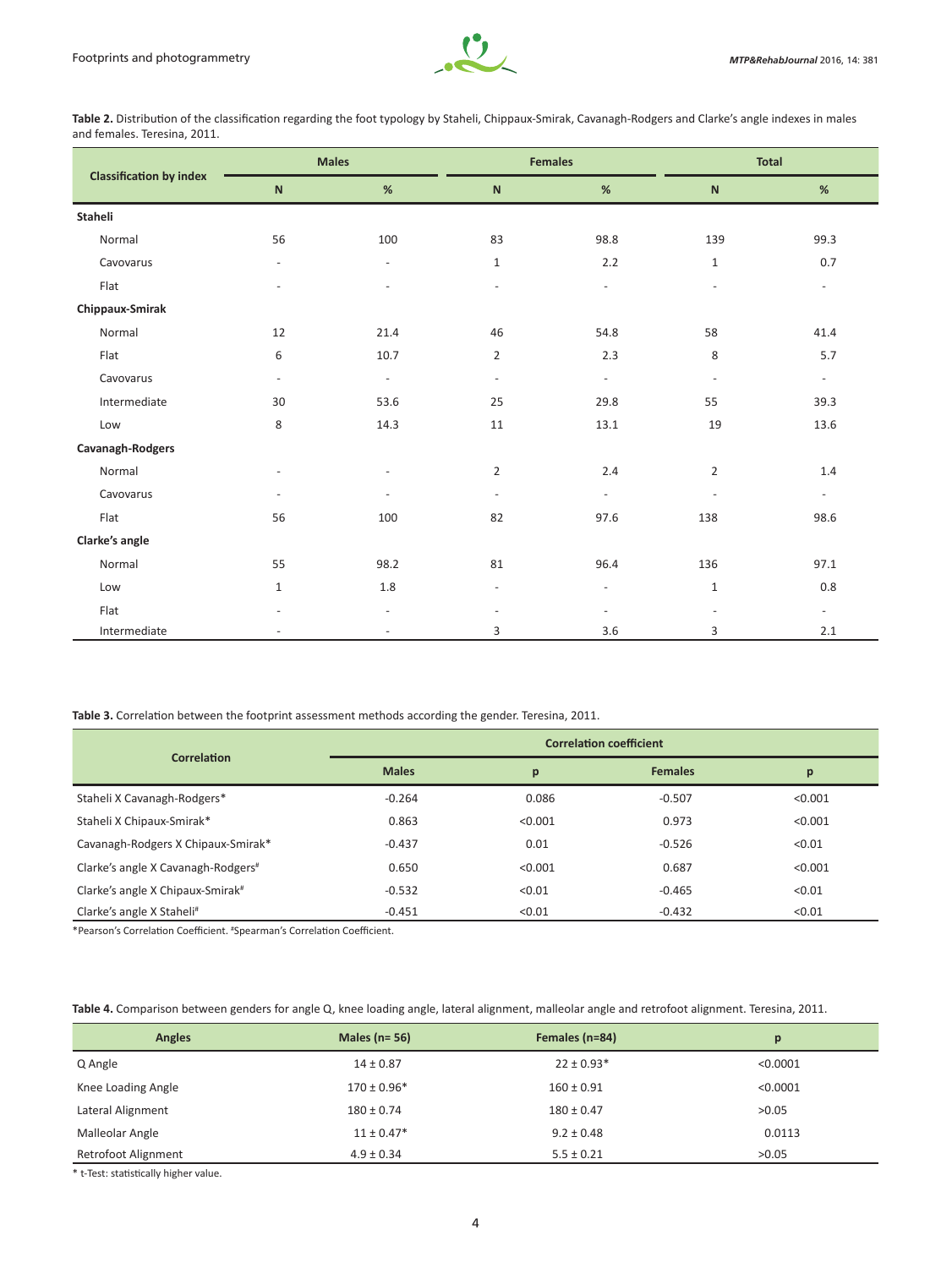

**Table 2.** Distribution of the classification regarding the foot typology by Staheli, Chippaux-Smirak, Cavanagh-Rodgers and Clarke's angle indexes in males and females. Teresina, 2011.

|                                | <b>Males</b>   |                          | <b>Females</b>           |                          | <b>Total</b>             |                          |
|--------------------------------|----------------|--------------------------|--------------------------|--------------------------|--------------------------|--------------------------|
| <b>Classification by index</b> | $\mathbf N$    | %                        | $\mathsf{N}$             | $\%$                     | ${\sf N}$                | $\%$                     |
| Staheli                        |                |                          |                          |                          |                          |                          |
| Normal                         | 56             | 100                      | 83                       | 98.8                     | 139                      | 99.3                     |
| Cavovarus                      | $\equiv$       | $\blacksquare$           | $\mathbf{1}$             | 2.2                      | $\mathbf{1}$             | 0.7                      |
| Flat                           | $\overline{a}$ | $\overline{a}$           | $\sim$                   | $\blacksquare$           |                          | $\equiv$                 |
| Chippaux-Smirak                |                |                          |                          |                          |                          |                          |
| Normal                         | 12             | 21.4                     | 46                       | 54.8                     | 58                       | 41.4                     |
| Flat                           | 6              | 10.7                     | $\overline{2}$           | 2.3                      | 8                        | 5.7                      |
| Cavovarus                      | $\blacksquare$ | $\omega$                 | $\overline{\phantom{a}}$ | $\equiv$                 | $\bar{\phantom{a}}$      | $\sim$                   |
| Intermediate                   | 30             | 53.6                     | 25                       | 29.8                     | 55                       | 39.3                     |
| Low                            | 8              | 14.3                     | 11                       | 13.1                     | 19                       | 13.6                     |
| Cavanagh-Rodgers               |                |                          |                          |                          |                          |                          |
| Normal                         | $\sim$         | ä,                       | $\overline{2}$           | 2.4                      | $\overline{2}$           | 1.4                      |
| Cavovarus                      | $\sim$         | $\overline{\phantom{a}}$ | $\omega$                 | $\omega$                 | $\blacksquare$           | $\sim$                   |
| Flat                           | 56             | 100                      | 82                       | 97.6                     | 138                      | 98.6                     |
| Clarke's angle                 |                |                          |                          |                          |                          |                          |
| Normal                         | 55             | 98.2                     | 81                       | 96.4                     | 136                      | 97.1                     |
| Low                            | $\mathbf{1}$   | $1.8\,$                  | $\omega$                 | $\overline{\phantom{a}}$ | $1\,$                    | 0.8                      |
| Flat                           | $\sim$         | $\overline{\phantom{a}}$ | $\overline{\phantom{a}}$ | $\overline{\phantom{a}}$ | $\overline{\phantom{a}}$ | $\overline{\phantom{a}}$ |
| Intermediate                   |                | $\equiv$                 | 3                        | 3.6                      | 3                        | 2.1                      |

**Table 3.** Correlation between the footprint assessment methods according the gender. Teresina, 2011.

|                                              | <b>Correlation coefficient</b> |         |                |         |  |
|----------------------------------------------|--------------------------------|---------|----------------|---------|--|
| Correlation                                  | <b>Males</b>                   | p       | <b>Females</b> | p       |  |
| Staheli X Cavanagh-Rodgers*                  | $-0.264$                       | 0.086   | $-0.507$       | < 0.001 |  |
| Staheli X Chipaux-Smirak*                    | 0.863                          | < 0.001 | 0.973          | < 0.001 |  |
| Cavanagh-Rodgers X Chipaux-Smirak*           | $-0.437$                       | 0.01    | $-0.526$       | < 0.01  |  |
| Clarke's angle X Cavanagh-Rodgers#           | 0.650                          | < 0.001 | 0.687          | < 0.001 |  |
| Clarke's angle X Chipaux-Smirak <sup>#</sup> | $-0.532$                       | < 0.01  | $-0.465$       | < 0.01  |  |
| Clarke's angle X Staheli#                    | $-0.451$                       | < 0.01  | $-0.432$       | < 0.01  |  |

\*Pearson's Correlation Coefficient. # Spearman's Correlation Coefficient.

|  |  |  |  |  |  | Table 4. Comparison between genders for angle Q, knee loading angle, lateral alignment, malleolar angle and retrofoot alignment. Teresina, 2011. |
|--|--|--|--|--|--|--------------------------------------------------------------------------------------------------------------------------------------------------|
|--|--|--|--|--|--|--------------------------------------------------------------------------------------------------------------------------------------------------|

| <b>Angles</b>              | Males ( $n = 56$ ) | Females (n=84) | p        |
|----------------------------|--------------------|----------------|----------|
| Q Angle                    | $14 \pm 0.87$      | $22 \pm 0.93*$ | < 0.0001 |
| Knee Loading Angle         | $170 \pm 0.96*$    | $160 \pm 0.91$ | < 0.0001 |
| Lateral Alignment          | $180 \pm 0.74$     | $180 \pm 0.47$ | >0.05    |
| Malleolar Angle            | $11 \pm 0.47*$     | $9.2 \pm 0.48$ | 0.0113   |
| <b>Retrofoot Alignment</b> | $4.9 \pm 0.34$     | $5.5 \pm 0.21$ | >0.05    |

\* t-Test: statistically higher value.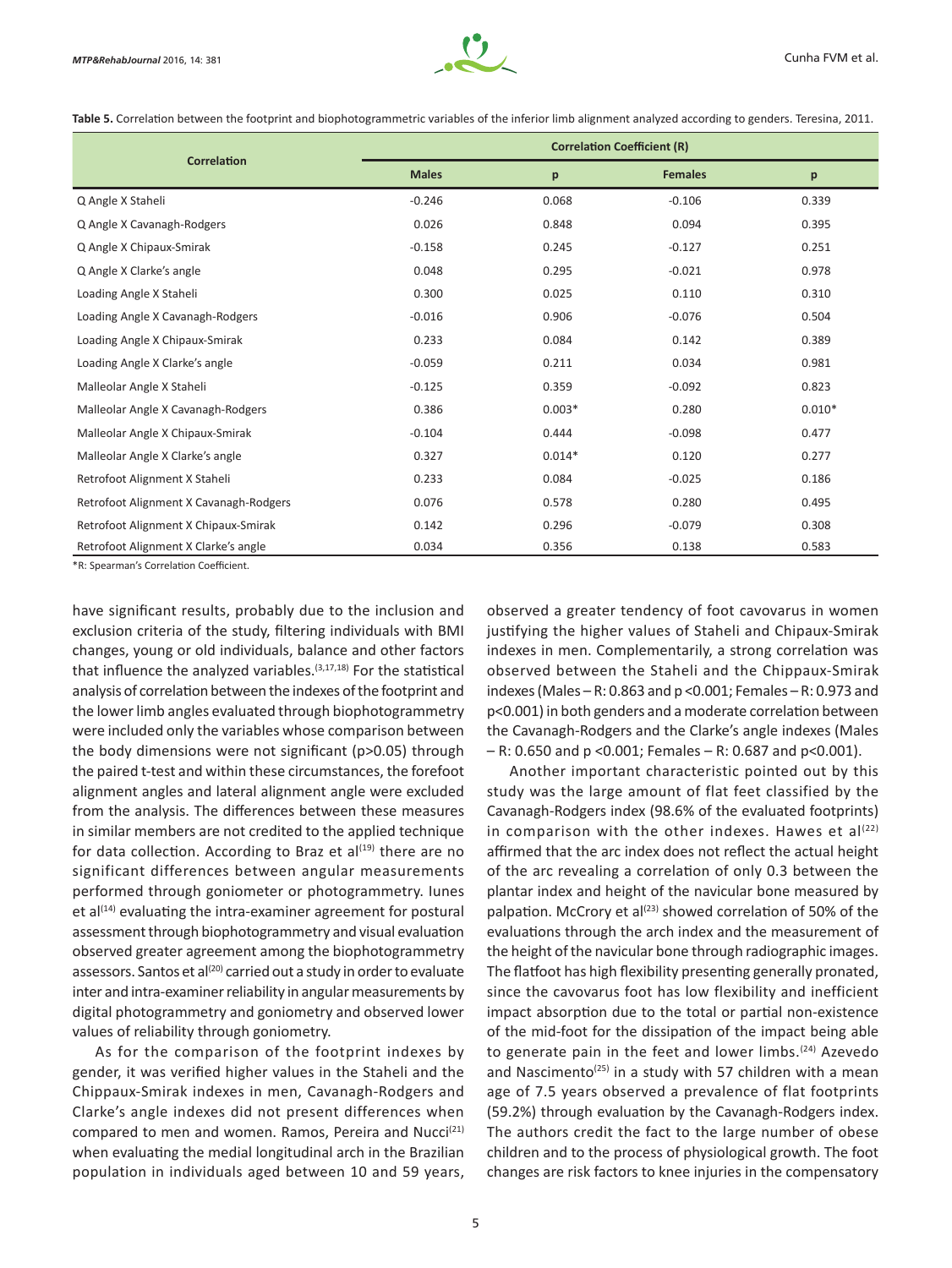

**Table 5.** Correlation between the footprint and biophotogrammetric variables of the inferior limb alignment analyzed according to genders. Teresina, 2011.

|                                        | <b>Correlation Coefficient (R)</b> |          |                |          |  |
|----------------------------------------|------------------------------------|----------|----------------|----------|--|
| <b>Correlation</b>                     | <b>Males</b>                       | p        | <b>Females</b> | p        |  |
| Q Angle X Staheli                      | $-0.246$                           | 0.068    | $-0.106$       | 0.339    |  |
| Q Angle X Cavanagh-Rodgers             | 0.026                              | 0.848    | 0.094          | 0.395    |  |
| Q Angle X Chipaux-Smirak               | $-0.158$                           | 0.245    | $-0.127$       | 0.251    |  |
| Q Angle X Clarke's angle               | 0.048                              | 0.295    | $-0.021$       | 0.978    |  |
| Loading Angle X Staheli                | 0.300                              | 0.025    | 0.110          | 0.310    |  |
| Loading Angle X Cavanagh-Rodgers       | $-0.016$                           | 0.906    | $-0.076$       | 0.504    |  |
| Loading Angle X Chipaux-Smirak         | 0.233                              | 0.084    | 0.142          | 0.389    |  |
| Loading Angle X Clarke's angle         | $-0.059$                           | 0.211    | 0.034          | 0.981    |  |
| Malleolar Angle X Staheli              | $-0.125$                           | 0.359    | $-0.092$       | 0.823    |  |
| Malleolar Angle X Cavanagh-Rodgers     | 0.386                              | $0.003*$ | 0.280          | $0.010*$ |  |
| Malleolar Angle X Chipaux-Smirak       | $-0.104$                           | 0.444    | $-0.098$       | 0.477    |  |
| Malleolar Angle X Clarke's angle       | 0.327                              | $0.014*$ | 0.120          | 0.277    |  |
| Retrofoot Alignment X Staheli          | 0.233                              | 0.084    | $-0.025$       | 0.186    |  |
| Retrofoot Alignment X Cavanagh-Rodgers | 0.076                              | 0.578    | 0.280          | 0.495    |  |
| Retrofoot Alignment X Chipaux-Smirak   | 0.142                              | 0.296    | $-0.079$       | 0.308    |  |
| Retrofoot Alignment X Clarke's angle   | 0.034                              | 0.356    | 0.138          | 0.583    |  |

\*R: Spearman's Correlation Coefficient.

have significant results, probably due to the inclusion and exclusion criteria of the study, filtering individuals with BMI changes, young or old individuals, balance and other factors that influence the analyzed variables. $(3,17,18)$  For the statistical analysis of correlation between the indexes of the footprint and the lower limb angles evaluated through biophotogrammetry were included only the variables whose comparison between the body dimensions were not significant (p>0.05) through the paired t-test and within these circumstances, the forefoot alignment angles and lateral alignment angle were excluded from the analysis. The differences between these measures in similar members are not credited to the applied technique for data collection. According to Braz et  $al^{(19)}$  there are no significant differences between angular measurements performed through goniometer or photogrammetry. Iunes et al $(14)$  evaluating the intra-examiner agreement for postural assessment through biophotogrammetry and visual evaluation observed greater agreement among the biophotogrammetry assessors. Santos et al<sup>(20)</sup> carried out a study in order to evaluate inter and intra-examiner reliability in angular measurements by digital photogrammetry and goniometry and observed lower values of reliability through goniometry.

As for the comparison of the footprint indexes by gender, it was verified higher values in the Staheli and the Chippaux‑Smirak indexes in men, Cavanagh-Rodgers and Clarke's angle indexes did not present differences when compared to men and women. Ramos, Pereira and Nucci<sup>(21)</sup> when evaluating the medial longitudinal arch in the Brazilian population in individuals aged between 10 and 59 years, observed a greater tendency of foot cavovarus in women justifying the higher values of Staheli and Chipaux-Smirak indexes in men. Complementarily, a strong correlation was observed between the Staheli and the Chippaux-Smirak indexes (Males – R: 0.863 and p <0.001; Females – R: 0.973 and p<0.001) in both genders and a moderate correlation between the Cavanagh-Rodgers and the Clarke's angle indexes (Males  $-$  R: 0.650 and p <0.001; Females – R: 0.687 and p<0.001).

Another important characteristic pointed out by this study was the large amount of flat feet classified by the Cavanagh-Rodgers index (98.6% of the evaluated footprints) in comparison with the other indexes. Hawes et  $al^{(22)}$ affirmed that the arc index does not reflect the actual height of the arc revealing a correlation of only 0.3 between the plantar index and height of the navicular bone measured by palpation. McCrory et al<sup>(23)</sup> showed correlation of 50% of the evaluations through the arch index and the measurement of the height of the navicular bone through radiographic images. The flatfoot has high flexibility presenting generally pronated, since the cavovarus foot has low flexibility and inefficient impact absorption due to the total or partial non‑existence of the mid-foot for the dissipation of the impact being able to generate pain in the feet and lower limbs.<sup>(24)</sup> Azevedo and Nascimento<sup>(25)</sup> in a study with 57 children with a mean age of 7.5 years observed a prevalence of flat footprints (59.2%) through evaluation by the Cavanagh-Rodgers index. The authors credit the fact to the large number of obese children and to the process of physiological growth. The foot changes are risk factors to knee injuries in the compensatory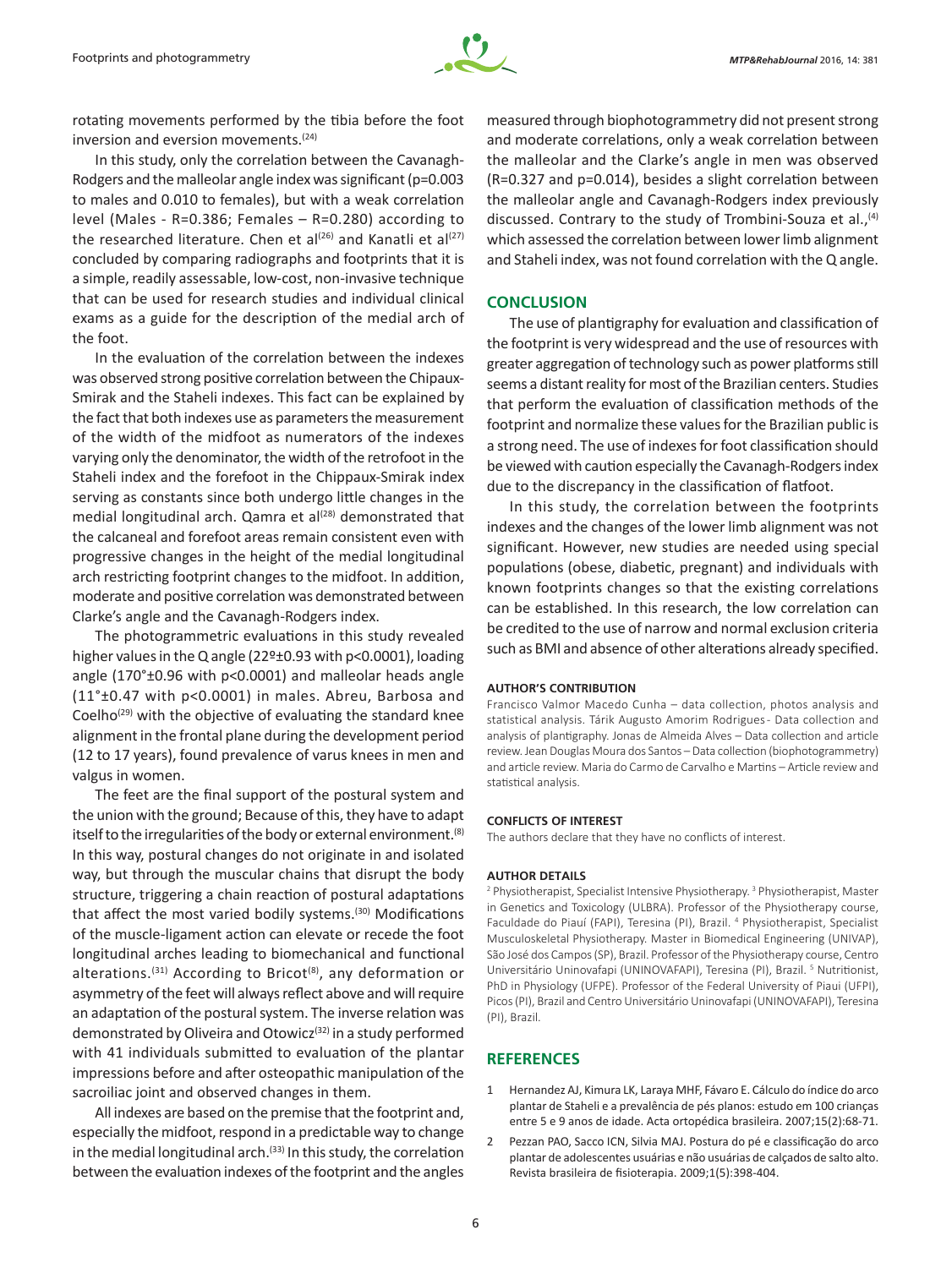

rotating movements performed by the tibia before the foot inversion and eversion movements.<sup>(24)</sup>

In this study, only the correlation between the Cavanagh-Rodgers and the malleolar angle index was significant (p=0.003 to males and 0.010 to females), but with a weak correlation level (Males - R=0.386; Females – R=0.280) according to the researched literature. Chen et al<sup>(26)</sup> and Kanatli et al<sup>(27)</sup> concluded by comparing radiographs and footprints that it is a simple, readily assessable, low-cost, non-invasive technique that can be used for research studies and individual clinical exams as a guide for the description of the medial arch of the foot.

In the evaluation of the correlation between the indexes was observed strong positive correlation between the Chipaux-Smirak and the Staheli indexes. This fact can be explained by the fact that both indexes use as parameters the measurement of the width of the midfoot as numerators of the indexes varying only the denominator, the width of the retrofoot in the Staheli index and the forefoot in the Chippaux-Smirak index serving as constants since both undergo little changes in the medial longitudinal arch. Qamra et al<sup>(28)</sup> demonstrated that the calcaneal and forefoot areas remain consistent even with progressive changes in the height of the medial longitudinal arch restricting footprint changes to the midfoot. In addition, moderate and positive correlation was demonstrated between Clarke's angle and the Cavanagh-Rodgers index.

The photogrammetric evaluations in this study revealed higher values in the Q angle (22º±0.93 with p<0.0001), loading angle (170°±0.96 with p<0.0001) and malleolar heads angle (11°±0.47 with p<0.0001) in males. Abreu, Barbosa and Coelho<sup>(29)</sup> with the objective of evaluating the standard knee alignment in the frontal plane during the development period (12 to 17 years), found prevalence of varus knees in men and valgus in women.

The feet are the final support of the postural system and the union with the ground; Because of this, they have to adapt itself to the irregularities of the body or external environment.<sup>(8)</sup> In this way, postural changes do not originate in and isolated way, but through the muscular chains that disrupt the body structure, triggering a chain reaction of postural adaptations that affect the most varied bodily systems.<sup>(30)</sup> Modifications of the muscle-ligament action can elevate or recede the foot longitudinal arches leading to biomechanical and functional alterations.<sup>(31)</sup> According to Bricot<sup>(8)</sup>, any deformation or asymmetry of the feet will always reflect above and will require an adaptation of the postural system. The inverse relation was demonstrated by Oliveira and Otowicz<sup>(32)</sup> in a study performed with 41 individuals submitted to evaluation of the plantar impressions before and after osteopathic manipulation of the sacroiliac joint and observed changes in them.

All indexes are based on the premise that the footprint and, especially the midfoot, respond in a predictable way to change in the medial longitudinal arch.<sup>(33)</sup> In this study, the correlation between the evaluation indexes of the footprint and the angles

measured through biophotogrammetry did not present strong and moderate correlations, only a weak correlation between the malleolar and the Clarke's angle in men was observed (R=0.327 and p=0.014), besides a slight correlation between the malleolar angle and Cavanagh-Rodgers index previously discussed. Contrary to the study of Trombini-Souza et al.,<sup>(4)</sup> which assessed the correlation between lower limb alignment and Staheli index, was not found correlation with the Q angle.

## **CONCLUSION**

The use of plantigraphy for evaluation and classification of the footprint is very widespread and the use of resources with greater aggregation of technology such as power platforms still seems a distant reality for most of the Brazilian centers. Studies that perform the evaluation of classification methods of the footprint and normalize these values for the Brazilian public is a strong need. The use of indexes for foot classification should be viewed with caution especially the Cavanagh-Rodgers index due to the discrepancy in the classification of flatfoot.

In this study, the correlation between the footprints indexes and the changes of the lower limb alignment was not significant. However, new studies are needed using special populations (obese, diabetic, pregnant) and individuals with known footprints changes so that the existing correlations can be established. In this research, the low correlation can be credited to the use of narrow and normal exclusion criteria such as BMI and absence of other alterations already specified.

### **AUTHOR'S CONTRIBUTION**

Francisco Valmor Macedo Cunha – data collection, photos analysis and statistical analysis. Tárik Augusto Amorim Rodrigues - Data collection and analysis of plantigraphy. Jonas de Almeida Alves – Data collection and article review. Jean Douglas Moura dos Santos – Data collection (biophotogrammetry) and article review. Maria do Carmo de Carvalho e Martins – Article review and statistical analysis.

#### **CONFLICTS OF INTEREST**

The authors declare that they have no conflicts of interest.

#### **AUTHOR DETAILS**

<sup>2</sup> Physiotherapist, Specialist Intensive Physiotherapy.<sup>3</sup> Physiotherapist, Master in Genetics and Toxicology (ULBRA). Professor of the Physiotherapy course, Faculdade do Piauí (FAPI), Teresina (PI), Brazil. <sup>4</sup> Physiotherapist, Specialist Musculoskeletal Physiotherapy. Master in Biomedical Engineering (UNIVAP), São José dos Campos (SP), Brazil. Professor of the Physiotherapy course, Centro Universitário Uninovafapi (UNINOVAFAPI), Teresina (PI), Brazil.<sup>5</sup> Nutritionist, PhD in Physiology (UFPE). Professor of the Federal University of Piaui (UFPI), Picos (PI), Brazil and Centro Universitário Uninovafapi (UNINOVAFAPI), Teresina (PI), Brazil.

# **REFERENCES**

- 1 Hernandez AJ, Kimura LK, Laraya MHF, Fávaro E. Cálculo do índice do arco plantar de Staheli e a prevalência de pés planos: estudo em 100 crianças entre 5 e 9 anos de idade. Acta ortopédica brasileira. 2007;15(2):68-71.
- 2 Pezzan PAO, Sacco ICN, Silvia MAJ. Postura do pé e classificação do arco plantar de adolescentes usuárias e não usuárias de calçados de salto alto. Revista brasileira de fisioterapia. 2009;1(5):398-404.